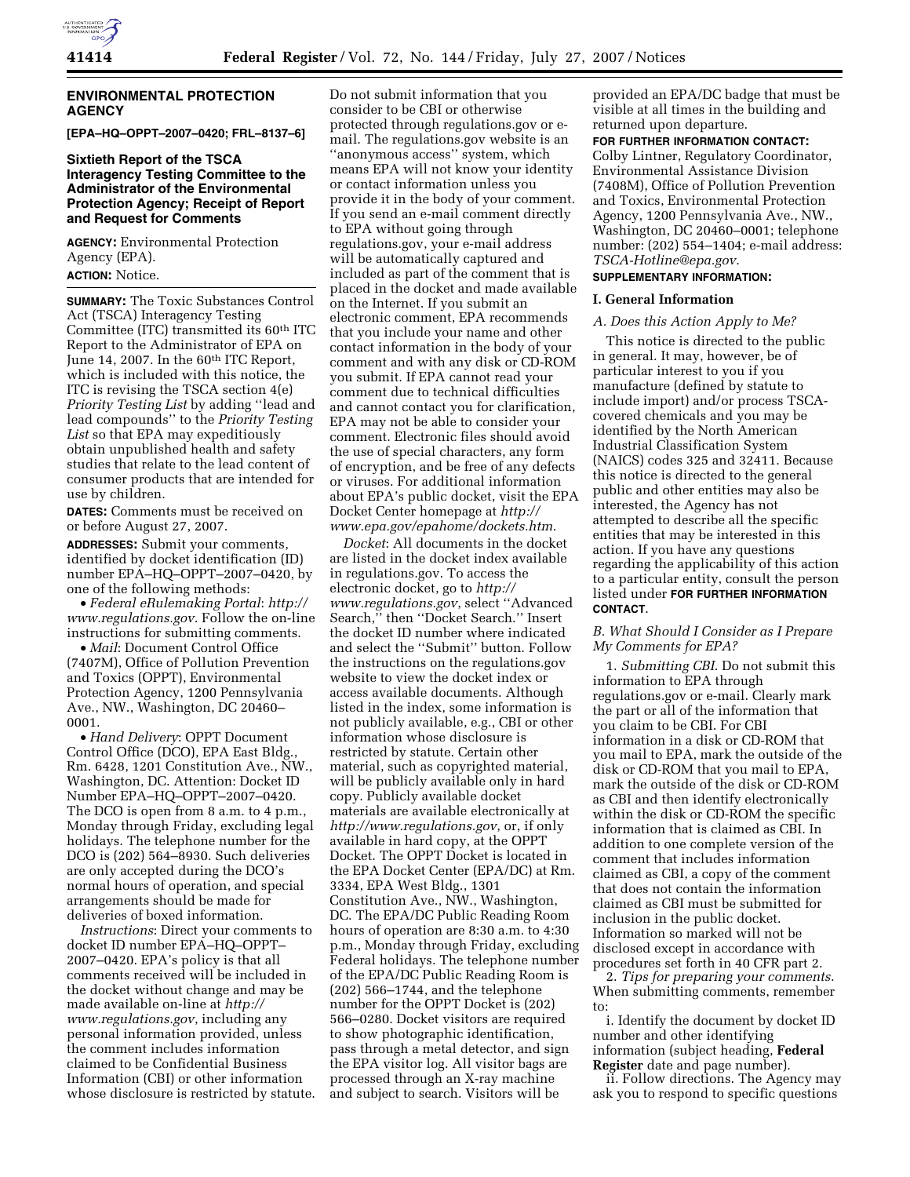

### **ENVIRONMENTAL PROTECTION AGENCY**

**[EPA–HQ–OPPT–2007–0420; FRL–8137–6]** 

### **Sixtieth Report of the TSCA Interagency Testing Committee to the Administrator of the Environmental Protection Agency; Receipt of Report and Request for Comments**

**AGENCY:** Environmental Protection Agency (EPA).

**ACTION:** Notice.

**SUMMARY:** The Toxic Substances Control Act (TSCA) Interagency Testing Committee (ITC) transmitted its 60th ITC Report to the Administrator of EPA on June 14, 2007. In the 60<sup>th</sup> ITC Report, which is included with this notice, the ITC is revising the TSCA section 4(e) *Priority Testing List* by adding ''lead and lead compounds'' to the *Priority Testing List* so that EPA may expeditiously obtain unpublished health and safety studies that relate to the lead content of consumer products that are intended for use by children.

**DATES:** Comments must be received on or before August 27, 2007.

**ADDRESSES:** Submit your comments, identified by docket identification (ID) number EPA–HQ–OPPT–2007–0420, by one of the following methods:

• *Federal eRulemaking Portal*: *http:// www.regulations.gov*. Follow the on-line instructions for submitting comments.

• *Mail*: Document Control Office (7407M), Office of Pollution Prevention and Toxics (OPPT), Environmental Protection Agency, 1200 Pennsylvania Ave., NW., Washington, DC 20460– 0001.

• *Hand Delivery*: OPPT Document Control Office (DCO), EPA East Bldg., Rm. 6428, 1201 Constitution Ave., NW., Washington, DC. Attention: Docket ID Number EPA–HQ–OPPT–2007–0420. The DCO is open from 8 a.m. to 4 p.m., Monday through Friday, excluding legal holidays. The telephone number for the DCO is (202) 564–8930. Such deliveries are only accepted during the DCO's normal hours of operation, and special arrangements should be made for deliveries of boxed information.

*Instructions*: Direct your comments to docket ID number EPA–HQ–OPPT– 2007–0420. EPA's policy is that all comments received will be included in the docket without change and may be made available on-line at *http:// www.regulations.gov*, including any personal information provided, unless the comment includes information claimed to be Confidential Business Information (CBI) or other information whose disclosure is restricted by statute.

Do not submit information that you consider to be CBI or otherwise protected through regulations.gov or email. The regulations.gov website is an ''anonymous access'' system, which means EPA will not know your identity or contact information unless you provide it in the body of your comment. If you send an e-mail comment directly to EPA without going through regulations.gov, your e-mail address will be automatically captured and included as part of the comment that is placed in the docket and made available on the Internet. If you submit an electronic comment, EPA recommends that you include your name and other contact information in the body of your comment and with any disk or CD-ROM you submit. If EPA cannot read your comment due to technical difficulties and cannot contact you for clarification, EPA may not be able to consider your comment. Electronic files should avoid the use of special characters, any form of encryption, and be free of any defects or viruses. For additional information about EPA's public docket, visit the EPA Docket Center homepage at *http:// www.epa.gov/epahome/dockets.htm*.

*Docket*: All documents in the docket are listed in the docket index available in regulations.gov. To access the electronic docket, go to *http:// www.regulations.gov*, select ''Advanced Search,'' then ''Docket Search.'' Insert the docket ID number where indicated and select the ''Submit'' button. Follow the instructions on the regulations.gov website to view the docket index or access available documents. Although listed in the index, some information is not publicly available, e.g., CBI or other information whose disclosure is restricted by statute. Certain other material, such as copyrighted material, will be publicly available only in hard copy. Publicly available docket materials are available electronically at *http://www.regulations.gov*, or, if only available in hard copy, at the OPPT Docket. The OPPT Docket is located in the EPA Docket Center (EPA/DC) at Rm. 3334, EPA West Bldg., 1301 Constitution Ave., NW., Washington, DC. The EPA/DC Public Reading Room hours of operation are 8:30 a.m. to 4:30 p.m., Monday through Friday, excluding Federal holidays. The telephone number of the EPA/DC Public Reading Room is (202) 566–1744, and the telephone number for the OPPT Docket is (202) 566–0280. Docket visitors are required to show photographic identification, pass through a metal detector, and sign the EPA visitor log. All visitor bags are processed through an X-ray machine and subject to search. Visitors will be

provided an EPA/DC badge that must be visible at all times in the building and returned upon departure.

**FOR FURTHER INFORMATION CONTACT:**  Colby Lintner, Regulatory Coordinator, Environmental Assistance Division (7408M), Office of Pollution Prevention and Toxics, Environmental Protection Agency, 1200 Pennsylvania Ave., NW., Washington, DC 20460–0001; telephone number: (202) 554–1404; e-mail address: *TSCA-Hotline@epa.gov*.

## **SUPPLEMENTARY INFORMATION:**

## **I. General Information**

### *A. Does this Action Apply to Me?*

This notice is directed to the public in general. It may, however, be of particular interest to you if you manufacture (defined by statute to include import) and/or process TSCAcovered chemicals and you may be identified by the North American Industrial Classification System (NAICS) codes 325 and 32411. Because this notice is directed to the general public and other entities may also be interested, the Agency has not attempted to describe all the specific entities that may be interested in this action. If you have any questions regarding the applicability of this action to a particular entity, consult the person listed under **FOR FURTHER INFORMATION CONTACT**.

### *B. What Should I Consider as I Prepare My Comments for EPA?*

1. *Submitting CBI*. Do not submit this information to EPA through regulations.gov or e-mail. Clearly mark the part or all of the information that you claim to be CBI. For CBI information in a disk or CD-ROM that you mail to EPA, mark the outside of the disk or CD-ROM that you mail to EPA, mark the outside of the disk or CD-ROM as CBI and then identify electronically within the disk or CD-ROM the specific information that is claimed as CBI. In addition to one complete version of the comment that includes information claimed as CBI, a copy of the comment that does not contain the information claimed as CBI must be submitted for inclusion in the public docket. Information so marked will not be disclosed except in accordance with procedures set forth in 40 CFR part 2.

2. *Tips for preparing your comments*. When submitting comments, remember to:

i. Identify the document by docket ID number and other identifying information (subject heading, **Federal Register** date and page number).

ii. Follow directions. The Agency may ask you to respond to specific questions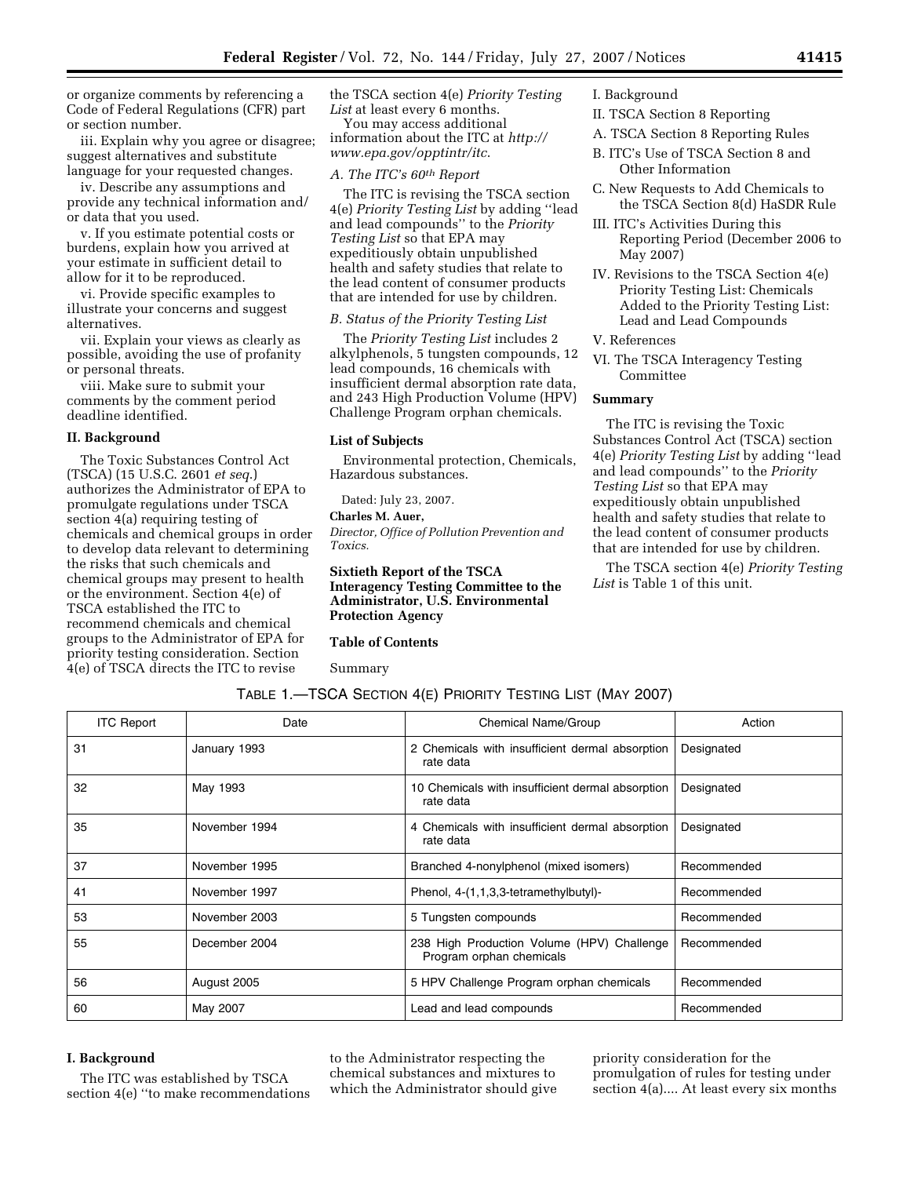or organize comments by referencing a Code of Federal Regulations (CFR) part or section number.

iii. Explain why you agree or disagree; suggest alternatives and substitute language for your requested changes.

iv. Describe any assumptions and provide any technical information and/ or data that you used.

v. If you estimate potential costs or burdens, explain how you arrived at your estimate in sufficient detail to allow for it to be reproduced.

vi. Provide specific examples to illustrate your concerns and suggest alternatives.

vii. Explain your views as clearly as possible, avoiding the use of profanity or personal threats.

viii. Make sure to submit your comments by the comment period deadline identified.

### **II. Background**

The Toxic Substances Control Act (TSCA) (15 U.S.C. 2601 *et seq*.) authorizes the Administrator of EPA to promulgate regulations under TSCA section 4(a) requiring testing of chemicals and chemical groups in order to develop data relevant to determining the risks that such chemicals and chemical groups may present to health or the environment. Section 4(e) of TSCA established the ITC to recommend chemicals and chemical groups to the Administrator of EPA for priority testing consideration. Section 4(e) of TSCA directs the ITC to revise

the TSCA section 4(e) *Priority Testing List* at least every 6 months.

You may access additional information about the ITC at *http:// www.epa.gov/opptintr/itc*.

### *A. The ITC's 60th Report*

The ITC is revising the TSCA section 4(e) *Priority Testing List* by adding ''lead and lead compounds'' to the *Priority Testing List* so that EPA may expeditiously obtain unpublished health and safety studies that relate to the lead content of consumer products that are intended for use by children.

# *B. Status of the Priority Testing List*

The *Priority Testing List* includes 2 alkylphenols, 5 tungsten compounds, 12 lead compounds, 16 chemicals with insufficient dermal absorption rate data, and 243 High Production Volume (HPV) Challenge Program orphan chemicals.

#### **List of Subjects**

Environmental protection, Chemicals, Hazardous substances.

Dated: July 23, 2007.

### **Charles M. Auer,**

*Director, Office of Pollution Prevention and Toxics.* 

**Sixtieth Report of the TSCA Interagency Testing Committee to the Administrator, U.S. Environmental Protection Agency** 

TABLE 1.—TSCA SECTION 4(E) PRIORITY TESTING LIST (MAY 2007)

#### **Table of Contents**

Summary

I. Background

- II. TSCA Section 8 Reporting
- A. TSCA Section 8 Reporting Rules
- B. ITC's Use of TSCA Section 8 and Other Information
- C. New Requests to Add Chemicals to the TSCA Section 8(d) HaSDR Rule
- III. ITC's Activities During this Reporting Period (December 2006 to May 2007)
- IV. Revisions to the TSCA Section 4(e) Priority Testing List: Chemicals Added to the Priority Testing List: Lead and Lead Compounds
- V. References
- VI. The TSCA Interagency Testing Committee

### **Summary**

The ITC is revising the Toxic Substances Control Act (TSCA) section 4(e) *Priority Testing List* by adding ''lead and lead compounds'' to the *Priority Testing List* so that EPA may expeditiously obtain unpublished health and safety studies that relate to the lead content of consumer products that are intended for use by children.

The TSCA section 4(e) *Priority Testing List* is Table 1 of this unit.

| <b>ITC Report</b> | Date          | Chemical Name/Group                                                    | Action      |
|-------------------|---------------|------------------------------------------------------------------------|-------------|
| 31                | January 1993  | 2 Chemicals with insufficient dermal absorption<br>rate data           | Designated  |
| 32                | May 1993      | 10 Chemicals with insufficient dermal absorption<br>rate data          | Designated  |
| 35                | November 1994 | 4 Chemicals with insufficient dermal absorption<br>rate data           | Designated  |
| 37                | November 1995 | Branched 4-nonylphenol (mixed isomers)                                 | Recommended |
| 41                | November 1997 | Phenol, 4-(1,1,3,3-tetramethylbutyl)-                                  | Recommended |
| 53                | November 2003 | 5 Tungsten compounds                                                   | Recommended |
| 55                | December 2004 | 238 High Production Volume (HPV) Challenge<br>Program orphan chemicals | Recommended |
| 56                | August 2005   | 5 HPV Challenge Program orphan chemicals                               | Recommended |
| 60                | May 2007      | Lead and lead compounds                                                | Recommended |

#### **I. Background**

The ITC was established by TSCA section 4(e) ''to make recommendations to the Administrator respecting the chemical substances and mixtures to which the Administrator should give priority consideration for the promulgation of rules for testing under section 4(a).... At least every six months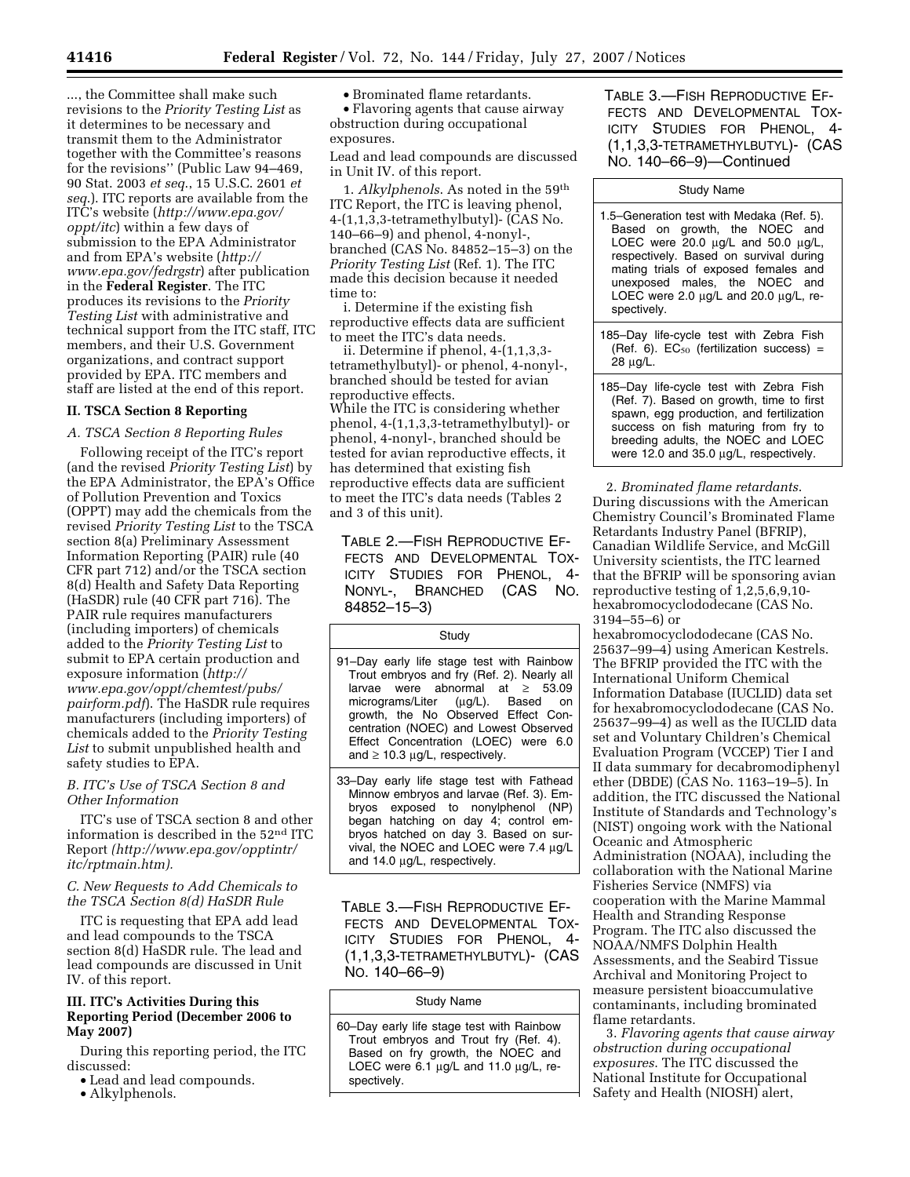..., the Committee shall make such revisions to the *Priority Testing List* as it determines to be necessary and transmit them to the Administrator together with the Committee's reasons for the revisions'' (Public Law 94–469, 90 Stat. 2003 *et seq*., 15 U.S.C. 2601 *et seq*.). ITC reports are available from the ITC's website (*http://www.epa.gov/ oppt/itc*) within a few days of submission to the EPA Administrator and from EPA's website (*http:// www.epa.gov/fedrgstr*) after publication in the **Federal Register**. The ITC produces its revisions to the *Priority Testing List* with administrative and technical support from the ITC staff, ITC members, and their U.S. Government organizations, and contract support provided by EPA. ITC members and staff are listed at the end of this report.

## **II. TSCA Section 8 Reporting**

# *A. TSCA Section 8 Reporting Rules*

Following receipt of the ITC's report (and the revised *Priority Testing List*) by the EPA Administrator, the EPA's Office of Pollution Prevention and Toxics (OPPT) may add the chemicals from the revised *Priority Testing List* to the TSCA section 8(a) Preliminary Assessment Information Reporting (PAIR) rule (40 CFR part 712) and/or the TSCA section 8(d) Health and Safety Data Reporting (HaSDR) rule (40 CFR part 716). The PAIR rule requires manufacturers (including importers) of chemicals added to the *Priority Testing List* to submit to EPA certain production and exposure information (*http:// www.epa.gov/oppt/chemtest/pubs/ pairform.pdf*). The HaSDR rule requires manufacturers (including importers) of chemicals added to the *Priority Testing List* to submit unpublished health and safety studies to EPA.

### *B. ITC's Use of TSCA Section 8 and Other Information*

ITC's use of TSCA section 8 and other information is described in the 52nd ITC Report *(http://www.epa.gov/opptintr/ itc/rptmain.htm).* 

## *C. New Requests to Add Chemicals to the TSCA Section 8(d) HaSDR Rule*

ITC is requesting that EPA add lead and lead compounds to the TSCA section 8(d) HaSDR rule. The lead and lead compounds are discussed in Unit IV. of this report.

# **III. ITC's Activities During this Reporting Period (December 2006 to May 2007)**

During this reporting period, the ITC discussed:

• Lead and lead compounds.

• Alkylphenols.

• Brominated flame retardants. • Flavoring agents that cause airway obstruction during occupational exposures.

Lead and lead compounds are discussed in Unit IV. of this report.

1. *Alkylphenols*. As noted in the 59th ITC Report, the ITC is leaving phenol,  $4-(1,1,3,3)$ -tetramethylbutyl)- $(CAS No.$ 140–66–9) and phenol, 4-nonyl-, branched (CAS No. 84852–15–3) on the *Priority Testing List* (Ref. 1). The ITC made this decision because it needed time to:

i. Determine if the existing fish reproductive effects data are sufficient to meet the ITC's data needs.

ii. Determine if phenol, 4-(1,1,3,3 tetramethylbutyl)- or phenol, 4-nonyl-, branched should be tested for avian reproductive effects. While the ITC is considering whether phenol, 4-(1,1,3,3-tetramethylbutyl)- or phenol, 4-nonyl-, branched should be tested for avian reproductive effects, it has determined that existing fish reproductive effects data are sufficient to meet the ITC's data needs (Tables 2 and 3 of this unit).

TABLE 2.—FISH REPRODUCTIVE EF-FECTS AND DEVELOPMENTAL TOX-ICITY STUDIES FOR PHENOL, 4- NONYL-, BRANCHED (CAS NO. 84852–15–3)

**Study** 

91–Day early life stage test with Rainbow Trout embryos and fry (Ref. 2). Nearly all larvae were abnormal at ≥ 53.09 micrograms/Liter growth, the No Observed Effect Concentration (NOEC) and Lowest Observed Effect Concentration (LOEC) were 6.0 and  $\geq 10.3$  µg/L, respectively.

33–Day early life stage test with Fathead Minnow embryos and larvae (Ref. 3). Embryos exposed to nonylphenol (NP) began hatching on day 4; control embryos hatched on day 3. Based on survival, the NOEC and LOEC were 7.4 µg/L and 14.0 µg/L, respectively.

TABLE 3.—FISH REPRODUCTIVE EF-FECTS AND DEVELOPMENTAL TOX-ICITY STUDIES FOR PHENOL, 4- (1,1,3,3-TETRAMETHYLBUTYL)- (CAS NO. 140–66–9)

### Study Name

60–Day early life stage test with Rainbow Trout embryos and Trout fry (Ref. 4). Based on fry growth, the NOEC and LOEC were 6.1 µg/L and 11.0 µg/L, respectively.

TABLE 3.—FISH REPRODUCTIVE EF-FECTS AND DEVELOPMENTAL TOX-ICITY STUDIES FOR PHENOL, 4- (1,1,3,3-TETRAMETHYLBUTYL)- (CAS NO. 140–66–9)—Continued

Study Name

- 1.5–Generation test with Medaka (Ref. 5). Based on growth, the NOEC and LOEC were 20.0 µg/L and 50.0 µg/L, respectively. Based on survival during mating trials of exposed females and unexposed males, the NOEC and LOEC were 2.0  $\mu$ g/L and 20.0  $\mu$ g/L, respectively.
- 185–Day life-cycle test with Zebra Fish (Ref. 6).  $EC_{50}$  (fertilization success) = 28 µg/L.

185–Day life-cycle test with Zebra Fish (Ref. 7). Based on growth, time to first spawn, egg production, and fertilization success on fish maturing from fry to breeding adults, the NOEC and LOEC were 12.0 and 35.0 µg/L, respectively.

2. *Brominated flame retardants*. During discussions with the American Chemistry Council's Brominated Flame Retardants Industry Panel (BFRIP), Canadian Wildlife Service, and McGill University scientists, the ITC learned that the BFRIP will be sponsoring avian reproductive testing of 1,2,5,6,9,10 hexabromocyclododecane (CAS No. 3194–55–6) or

hexabromocyclododecane (CAS No. 25637–99–4) using American Kestrels. The BFRIP provided the ITC with the International Uniform Chemical Information Database (IUCLID) data set for hexabromocyclododecane (CAS No. 25637–99–4) as well as the IUCLID data set and Voluntary Children's Chemical Evaluation Program (VCCEP) Tier I and II data summary for decabromodiphenyl ether (DBDE) (CAS No. 1163–19–5). In addition, the ITC discussed the National Institute of Standards and Technology's (NIST) ongoing work with the National Oceanic and Atmospheric Administration (NOAA), including the collaboration with the National Marine Fisheries Service (NMFS) via cooperation with the Marine Mammal Health and Stranding Response Program. The ITC also discussed the NOAA/NMFS Dolphin Health Assessments, and the Seabird Tissue Archival and Monitoring Project to measure persistent bioaccumulative contaminants, including brominated flame retardants.

3. *Flavoring agents that cause airway obstruction during occupational exposures*. The ITC discussed the National Institute for Occupational Safety and Health (NIOSH) alert,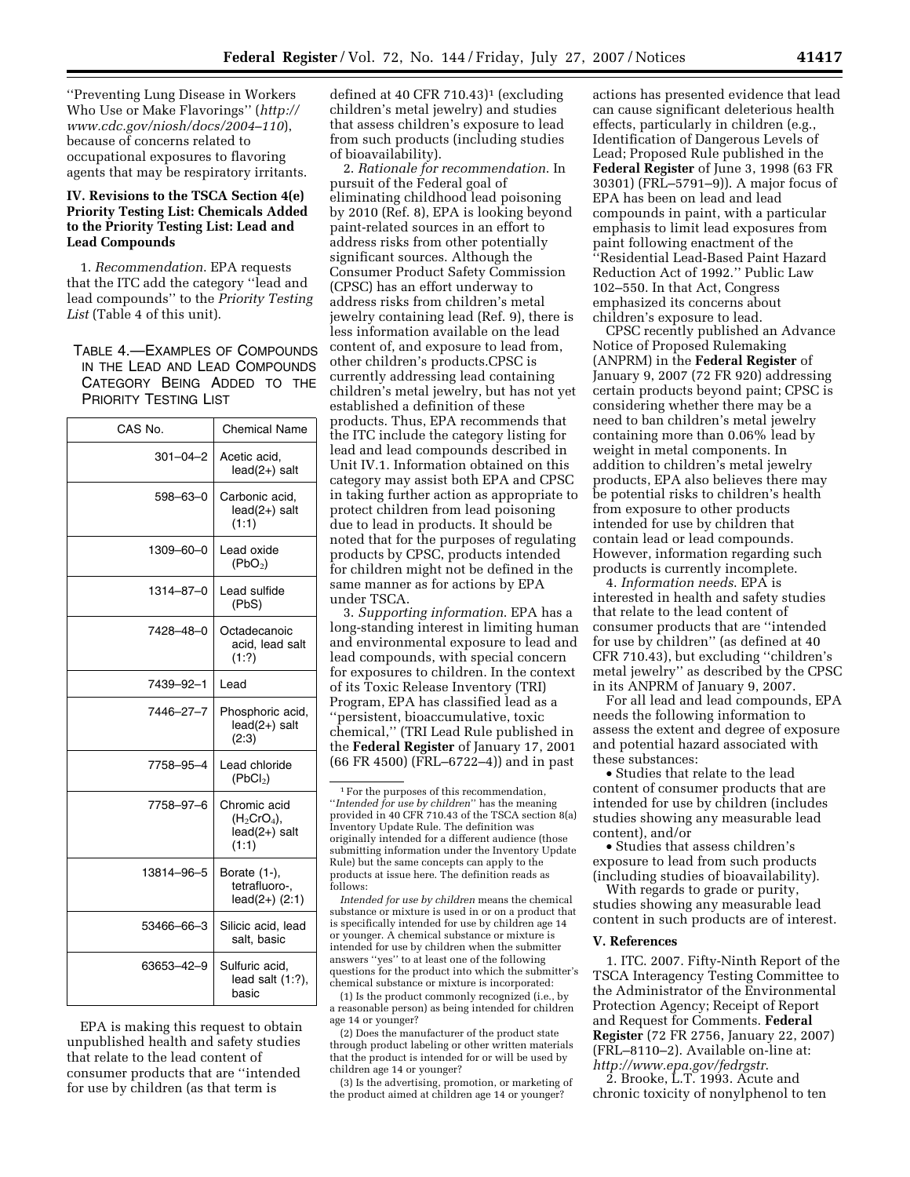''Preventing Lung Disease in Workers Who Use or Make Flavorings'' (*http:// www.cdc.gov/niosh/docs/2004–110*), because of concerns related to occupational exposures to flavoring agents that may be respiratory irritants.

## **IV. Revisions to the TSCA Section 4(e) Priority Testing List: Chemicals Added to the Priority Testing List: Lead and Lead Compounds**

1. *Recommendation*. EPA requests that the ITC add the category ''lead and lead compounds'' to the *Priority Testing List* (Table 4 of this unit).

TABLE 4.—EXAMPLES OF COMPOUNDS IN THE LEAD AND LEAD COMPOUNDS CATEGORY BEING ADDED TO THE PRIORITY TESTING LIST

| CAS No.    | <b>Chemical Name</b>                                   |  |
|------------|--------------------------------------------------------|--|
| 301-04-2   | Acetic acid,<br>lead(2+) salt                          |  |
| 598-63-0   | Carbonic acid,<br>lead(2+) salt<br>(1:1)               |  |
| 1309-60-0  | Lead oxide<br>(PbO <sub>2</sub> )                      |  |
| 1314–87–0  | Lead sulfide<br>(PbS)                                  |  |
| 7428-48-0  | Octadecanoic<br>acid, lead salt<br>(1:?)               |  |
| 7439–92–1  | Lead                                                   |  |
| 7446–27–7  | Phosphoric acid,<br>lead(2+) salt<br>(2:3)             |  |
| 7758-95-4  | Lead chloride<br>(PbCl <sub>2</sub> )                  |  |
| 7758-97-6  | Chromic acid<br>$(H2CrO4)$ ,<br>lead(2+) salt<br>(1:1) |  |
| 13814-96-5 | Borate (1-),<br>tetrafluoro-.<br>$lead(2+)$ (2:1)      |  |
| 53466-66-3 | Silicic acid, lead<br>salt, basic                      |  |
| 63653-42-9 | Sulfuric acid,<br>lead salt $(1:?)$ ,<br>basic         |  |

EPA is making this request to obtain unpublished health and safety studies that relate to the lead content of consumer products that are ''intended for use by children (as that term is

defined at 40 CFR 710.43 $]$ <sup>1</sup> (excluding children's metal jewelry) and studies that assess children's exposure to lead from such products (including studies of bioavailability).

2. *Rationale for recommendation*. In pursuit of the Federal goal of eliminating childhood lead poisoning by 2010 (Ref. 8), EPA is looking beyond paint-related sources in an effort to address risks from other potentially significant sources. Although the Consumer Product Safety Commission (CPSC) has an effort underway to address risks from children's metal jewelry containing lead (Ref. 9), there is less information available on the lead content of, and exposure to lead from, other children's products.CPSC is currently addressing lead containing children's metal jewelry, but has not yet established a definition of these products. Thus, EPA recommends that the ITC include the category listing for lead and lead compounds described in Unit IV.1. Information obtained on this category may assist both EPA and CPSC in taking further action as appropriate to protect children from lead poisoning due to lead in products. It should be noted that for the purposes of regulating products by CPSC, products intended for children might not be defined in the same manner as for actions by EPA under TSCA.

3. *Supporting information*. EPA has a long-standing interest in limiting human and environmental exposure to lead and lead compounds, with special concern for exposures to children. In the context of its Toxic Release Inventory (TRI) Program, EPA has classified lead as a ''persistent, bioaccumulative, toxic chemical,'' (TRI Lead Rule published in the **Federal Register** of January 17, 2001 (66 FR 4500) (FRL–6722–4)) and in past

*Intended for use by children* means the chemical substance or mixture is used in or on a product that is specifically intended for use by children age 14 or younger. A chemical substance or mixture is intended for use by children when the submitter answers ''yes'' to at least one of the following questions for the product into which the submitter's chemical substance or mixture is incorporated:

(1) Is the product commonly recognized (i.e., by a reasonable person) as being intended for children age 14 or younger?

(2) Does the manufacturer of the product state through product labeling or other written materials that the product is intended for or will be used by children age 14 or younger?

(3) Is the advertising, promotion, or marketing of the product aimed at children age 14 or younger?

actions has presented evidence that lead can cause significant deleterious health effects, particularly in children (e.g., Identification of Dangerous Levels of Lead; Proposed Rule published in the **Federal Register** of June 3, 1998 (63 FR 30301) (FRL–5791–9)). A major focus of EPA has been on lead and lead compounds in paint, with a particular emphasis to limit lead exposures from paint following enactment of the ''Residential Lead-Based Paint Hazard Reduction Act of 1992.'' Public Law 102–550. In that Act, Congress emphasized its concerns about children's exposure to lead.

CPSC recently published an Advance Notice of Proposed Rulemaking (ANPRM) in the **Federal Register** of January 9, 2007 (72 FR 920) addressing certain products beyond paint; CPSC is considering whether there may be a need to ban children's metal jewelry containing more than 0.06% lead by weight in metal components. In addition to children's metal jewelry products, EPA also believes there may be potential risks to children's health from exposure to other products intended for use by children that contain lead or lead compounds. However, information regarding such products is currently incomplete.

4. *Information needs*. EPA is interested in health and safety studies that relate to the lead content of consumer products that are ''intended for use by children'' (as defined at 40 CFR 710.43), but excluding ''children's metal jewelry'' as described by the CPSC in its ANPRM of January 9, 2007.

For all lead and lead compounds, EPA needs the following information to assess the extent and degree of exposure and potential hazard associated with these substances:

• Studies that relate to the lead content of consumer products that are intended for use by children (includes studies showing any measurable lead content), and/or

• Studies that assess children's exposure to lead from such products (including studies of bioavailability).

With regards to grade or purity, studies showing any measurable lead content in such products are of interest.

#### **V. References**

1. ITC. 2007. Fifty-Ninth Report of the TSCA Interagency Testing Committee to the Administrator of the Environmental Protection Agency; Receipt of Report and Request for Comments. **Federal Register** (72 FR 2756, January 22, 2007) (FRL–8110–2). Available on-line at: *http://www.epa.gov/fedrgstr*.

2. Brooke, L.T. 1993. Acute and chronic toxicity of nonylphenol to ten

<sup>1</sup>For the purposes of this recommendation, ''*Intended for use by children*'' has the meaning provided in 40 CFR 710.43 of the TSCA section 8(a) Inventory Update Rule. The definition was originally intended for a different audience (those submitting information under the Inventory Update Rule) but the same concepts can apply to the products at issue here. The definition reads as follows: